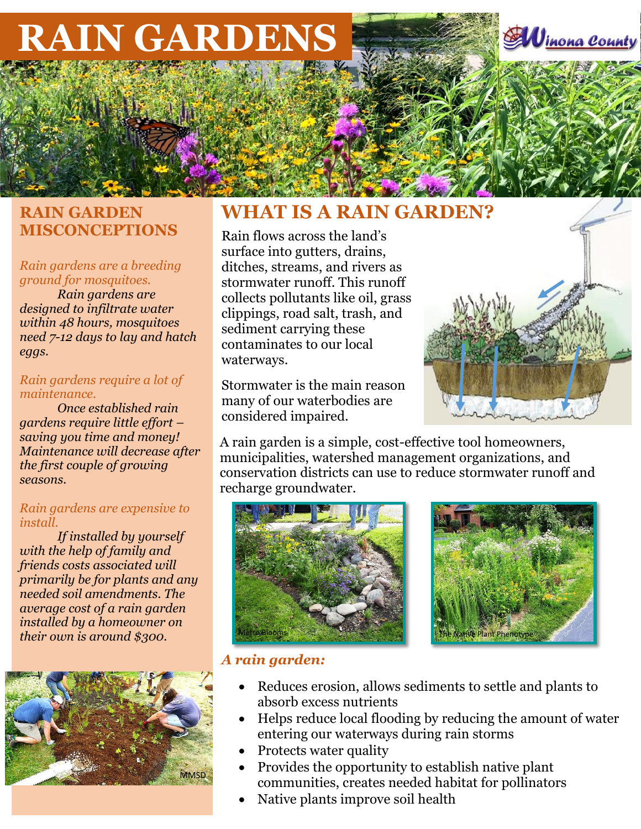# **RAIN GARDENS**

# **RAIN GARDEN MISCONCEPTIONS**

#### *Rain gardens are a breeding ground for mosquitoes.*

*Rain gardens are designed to infiltrate water within 48 hours, mosquitoes need 7-12 days to lay and hatch eggs.*

#### *Rain gardens require a lot of maintenance.*

*Once established rain gardens require little effort – saving you time and money! Maintenance will decrease after the first couple of growing seasons.*

### *Rain gardens are expensive to install.*

*If installed by yourself with the help of family and friends costs associated will primarily be for plants and any needed soil amendments. The average cost of a rain garden installed by a homeowner on their own is around \$300.*



# **WHAT IS A RAIN GARDEN?**

Rain flows across the land's surface into gutters, drains, ditches, streams, and rivers as stormwater runoff. This runoff collects pollutants like oil, grass clippings, road salt, trash, and sediment carrying these contaminates to our local waterways.

Stormwater is the main reason many of our waterbodies are considered impaired.

A rain garden is a simple, cost-effective tool homeowners, municipalities, watershed management organizations, and conservation districts can use to reduce stormwater runoff and recharge groundwater.





## *A rain garden:*

- Reduces erosion, allows sediments to settle and plants to absorb excess nutrients
- Helps reduce local flooding by reducing the amount of water entering our waterways during rain storms
- Protects water quality
- Provides the opportunity to establish native plant communities, creates needed habitat for pollinators
- Native plants improve soil health



inona County